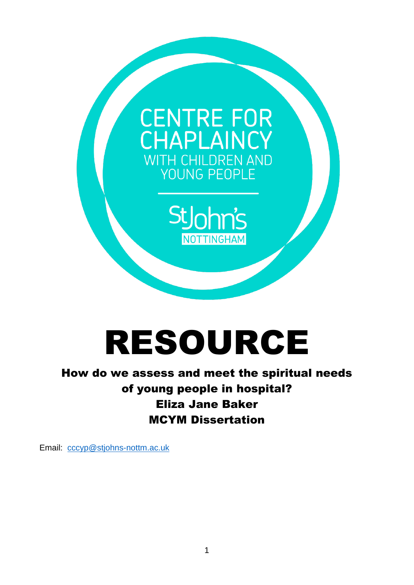

# RESOURCE

# How do we assess and meet the spiritual needs of young people in hospital? Eliza Jane Baker MCYM Dissertation

Email: [cccyp@stjohns-nottm.ac.uk](mailto:cccyp@stjohns-nottm.ac.uk)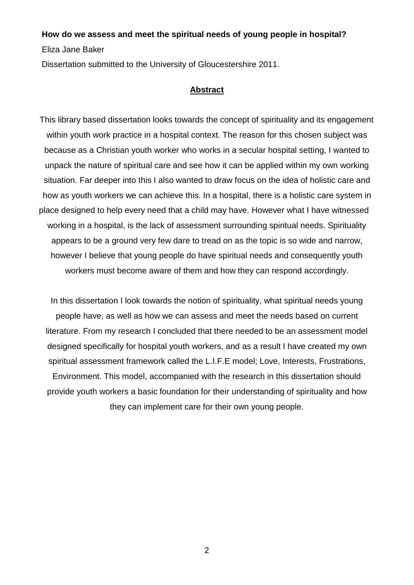#### **How do we assess and meet the spiritual needs of young people in hospital?**

Eliza Jane Baker

Dissertation submitted to the University of Gloucestershire 2011.

# **Abstract**

This library based dissertation looks towards the concept of spirituality and its engagement within youth work practice in a hospital context. The reason for this chosen subject was because as a Christian youth worker who works in a secular hospital setting, I wanted to unpack the nature of spiritual care and see how it can be applied within my own working situation. Far deeper into this I also wanted to draw focus on the idea of holistic care and how as youth workers we can achieve this. In a hospital, there is a holistic care system in place designed to help every need that a child may have. However what I have witnessed working in a hospital, is the lack of assessment surrounding spiritual needs. Spirituality appears to be a ground very few dare to tread on as the topic is so wide and narrow, however I believe that young people do have spiritual needs and consequently youth workers must become aware of them and how they can respond accordingly.

In this dissertation I look towards the notion of spirituality, what spiritual needs young people have, as well as how we can assess and meet the needs based on current literature. From my research I concluded that there needed to be an assessment model designed specifically for hospital youth workers, and as a result I have created my own spiritual assessment framework called the L.I.F.E model; Love, Interests, Frustrations,

Environment. This model, accompanied with the research in this dissertation should provide youth workers a basic foundation for their understanding of spirituality and how they can implement care for their own young people.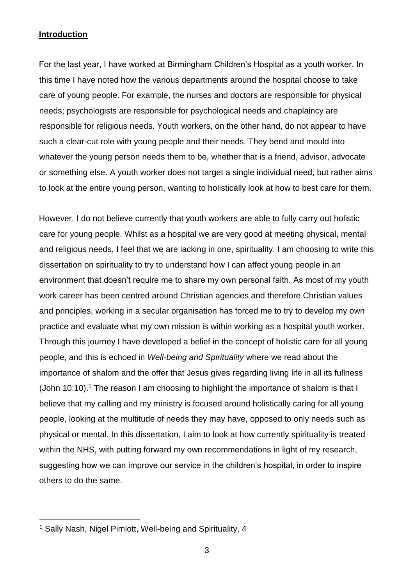# **Introduction**

For the last year, I have worked at Birmingham Children's Hospital as a youth worker. In this time I have noted how the various departments around the hospital choose to take care of young people. For example, the nurses and doctors are responsible for physical needs; psychologists are responsible for psychological needs and chaplaincy are responsible for religious needs. Youth workers, on the other hand, do not appear to have such a clear-cut role with young people and their needs. They bend and mould into whatever the young person needs them to be, whether that is a friend, advisor, advocate or something else. A youth worker does not target a single individual need, but rather aims to look at the entire young person, wanting to holistically look at how to best care for them.

However, I do not believe currently that youth workers are able to fully carry out holistic care for young people. Whilst as a hospital we are very good at meeting physical, mental and religious needs, I feel that we are lacking in one, spirituality. I am choosing to write this dissertation on spirituality to try to understand how I can affect young people in an environment that doesn't require me to share my own personal faith. As most of my youth work career has been centred around Christian agencies and therefore Christian values and principles, working in a secular organisation has forced me to try to develop my own practice and evaluate what my own mission is within working as a hospital youth worker. Through this journey I have developed a belief in the concept of holistic care for all young people, and this is echoed in *Well-being and Spirituality* where we read about the importance of shalom and the offer that Jesus gives regarding living life in all its fullness (John 10:10).<sup>1</sup> The reason I am choosing to highlight the importance of shalom is that I believe that my calling and my ministry is focused around holistically caring for all young people, looking at the multitude of needs they may have, opposed to only needs such as physical or mental. In this dissertation, I aim to look at how currently spirituality is treated within the NHS, with putting forward my own recommendations in light of my research, suggesting how we can improve our service in the children's hospital, in order to inspire others to do the same.

<sup>&</sup>lt;sup>1</sup> Sally Nash, Nigel Pimlott, Well-being and Spirituality, 4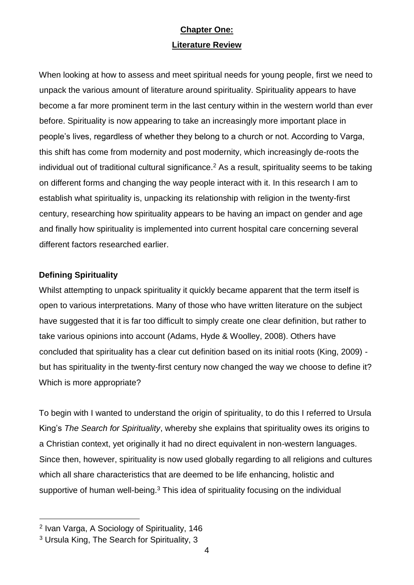# **Chapter One: Literature Review**

When looking at how to assess and meet spiritual needs for young people, first we need to unpack the various amount of literature around spirituality. Spirituality appears to have become a far more prominent term in the last century within in the western world than ever before. Spirituality is now appearing to take an increasingly more important place in people's lives, regardless of whether they belong to a church or not. According to Varga, this shift has come from modernity and post modernity, which increasingly de-roots the individual out of traditional cultural significance.<sup>2</sup> As a result, spirituality seems to be taking on different forms and changing the way people interact with it. In this research I am to establish what spirituality is, unpacking its relationship with religion in the twenty-first century, researching how spirituality appears to be having an impact on gender and age and finally how spirituality is implemented into current hospital care concerning several different factors researched earlier.

# **Defining Spirituality**

Whilst attempting to unpack spirituality it quickly became apparent that the term itself is open to various interpretations. Many of those who have written literature on the subject have suggested that it is far too difficult to simply create one clear definition, but rather to take various opinions into account (Adams, Hyde & Woolley, 2008). Others have concluded that spirituality has a clear cut definition based on its initial roots (King, 2009) but has spirituality in the twenty-first century now changed the way we choose to define it? Which is more appropriate?

To begin with I wanted to understand the origin of spirituality, to do this I referred to Ursula King's *The Search for Spirituality*, whereby she explains that spirituality owes its origins to a Christian context, yet originally it had no direct equivalent in non-western languages. Since then, however, spirituality is now used globally regarding to all religions and cultures which all share characteristics that are deemed to be life enhancing, holistic and supportive of human well-being.<sup>3</sup> This idea of spirituality focusing on the individual

<sup>2</sup> Ivan Varga, A Sociology of Spirituality, 146

<sup>3</sup> Ursula King, The Search for Spirituality, 3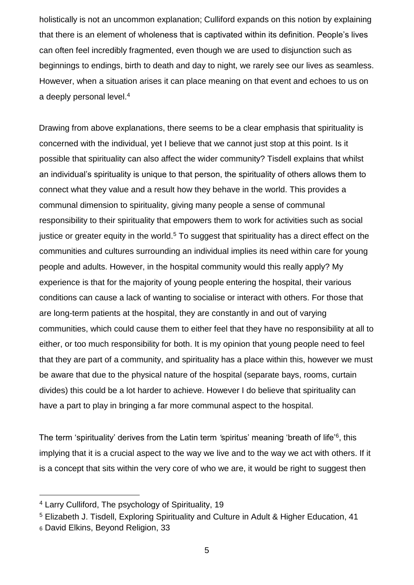holistically is not an uncommon explanation; Culliford expands on this notion by explaining that there is an element of wholeness that is captivated within its definition. People's lives can often feel incredibly fragmented, even though we are used to disjunction such as beginnings to endings, birth to death and day to night, we rarely see our lives as seamless. However, when a situation arises it can place meaning on that event and echoes to us on a deeply personal level.<sup>4</sup>

Drawing from above explanations, there seems to be a clear emphasis that spirituality is concerned with the individual, yet I believe that we cannot just stop at this point. Is it possible that spirituality can also affect the wider community? Tisdell explains that whilst an individual's spirituality is unique to that person, the spirituality of others allows them to connect what they value and a result how they behave in the world. This provides a communal dimension to spirituality, giving many people a sense of communal responsibility to their spirituality that empowers them to work for activities such as social justice or greater equity in the world.<sup>5</sup> To suggest that spirituality has a direct effect on the communities and cultures surrounding an individual implies its need within care for young people and adults. However, in the hospital community would this really apply? My experience is that for the majority of young people entering the hospital, their various conditions can cause a lack of wanting to socialise or interact with others. For those that are long-term patients at the hospital, they are constantly in and out of varying communities, which could cause them to either feel that they have no responsibility at all to either, or too much responsibility for both. It is my opinion that young people need to feel that they are part of a community, and spirituality has a place within this, however we must be aware that due to the physical nature of the hospital (separate bays, rooms, curtain divides) this could be a lot harder to achieve. However I do believe that spirituality can have a part to play in bringing a far more communal aspect to the hospital.

The term ʻspirituality' derives from the Latin term *ʻ*spiritus' meaning ʻbreath of life'<sup>6</sup> , this implying that it is a crucial aspect to the way we live and to the way we act with others. If it is a concept that sits within the very core of who we are, it would be right to suggest then

<sup>4</sup> Larry Culliford, The psychology of Spirituality, 19

<sup>5</sup> Elizabeth J. Tisdell, Exploring Spirituality and Culture in Adult & Higher Education, 41 <sup>6</sup> David Elkins, Beyond Religion, 33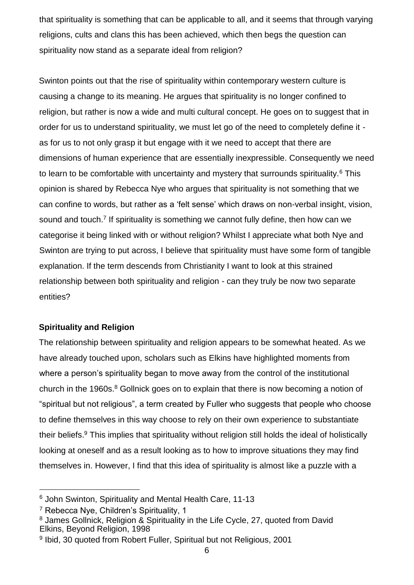that spirituality is something that can be applicable to all, and it seems that through varying religions, cults and clans this has been achieved, which then begs the question can spirituality now stand as a separate ideal from religion?

Swinton points out that the rise of spirituality within contemporary western culture is causing a change to its meaning. He argues that spirituality is no longer confined to religion, but rather is now a wide and multi cultural concept. He goes on to suggest that in order for us to understand spirituality, we must let go of the need to completely define it as for us to not only grasp it but engage with it we need to accept that there are dimensions of human experience that are essentially inexpressible. Consequently we need to learn to be comfortable with uncertainty and mystery that surrounds spirituality.<sup>6</sup> This opinion is shared by Rebecca Nye who argues that spirituality is not something that we can confine to words, but rather as a ʻfelt sense' which draws on non-verbal insight, vision, sound and touch.<sup>7</sup> If spirituality is something we cannot fully define, then how can we categorise it being linked with or without religion? Whilst I appreciate what both Nye and Swinton are trying to put across, I believe that spirituality must have some form of tangible explanation. If the term descends from Christianity I want to look at this strained relationship between both spirituality and religion - can they truly be now two separate entities?

# **Spirituality and Religion**

The relationship between spirituality and religion appears to be somewhat heated. As we have already touched upon, scholars such as Elkins have highlighted moments from where a person's spirituality began to move away from the control of the institutional church in the 1960s.<sup>8</sup> Gollnick goes on to explain that there is now becoming a notion of "spiritual but not religious", a term created by Fuller who suggests that people who choose to define themselves in this way choose to rely on their own experience to substantiate their beliefs.<sup>9</sup> This implies that spirituality without religion still holds the ideal of holistically looking at oneself and as a result looking as to how to improve situations they may find themselves in. However, I find that this idea of spirituality is almost like a puzzle with a

<sup>6</sup> John Swinton, Spirituality and Mental Health Care, 11-13

<sup>7</sup> Rebecca Nye, Children's Spirituality, 1

<sup>8</sup> James Gollnick, Religion & Spirituality in the Life Cycle, 27, quoted from David Elkins, Beyond Religion, 1998

<sup>&</sup>lt;sup>9</sup> Ibid, 30 quoted from Robert Fuller, Spiritual but not Religious, 2001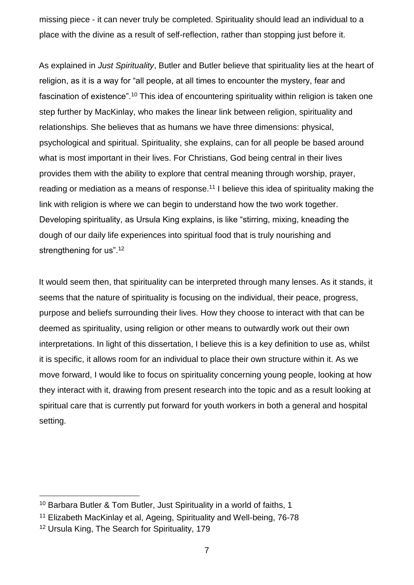missing piece - it can never truly be completed. Spirituality should lead an individual to a place with the divine as a result of self-reflection, rather than stopping just before it.

As explained in *Just Spirituality*, Butler and Butler believe that spirituality lies at the heart of religion, as it is a way for "all people, at all times to encounter the mystery, fear and fascination of existence".<sup>10</sup> This idea of encountering spirituality within religion is taken one step further by MacKinlay, who makes the linear link between religion, spirituality and relationships. She believes that as humans we have three dimensions: physical, psychological and spiritual. Spirituality, she explains, can for all people be based around what is most important in their lives. For Christians, God being central in their lives provides them with the ability to explore that central meaning through worship, prayer, reading or mediation as a means of response.<sup>11</sup> I believe this idea of spirituality making the link with religion is where we can begin to understand how the two work together. Developing spirituality, as Ursula King explains, is like "stirring, mixing, kneading the dough of our daily life experiences into spiritual food that is truly nourishing and strengthening for us".<sup>12</sup>

It would seem then, that spirituality can be interpreted through many lenses. As it stands, it seems that the nature of spirituality is focusing on the individual, their peace, progress, purpose and beliefs surrounding their lives. How they choose to interact with that can be deemed as spirituality, using religion or other means to outwardly work out their own interpretations. In light of this dissertation, I believe this is a key definition to use as, whilst it is specific, it allows room for an individual to place their own structure within it. As we move forward, I would like to focus on spirituality concerning young people, looking at how they interact with it, drawing from present research into the topic and as a result looking at spiritual care that is currently put forward for youth workers in both a general and hospital setting.

<sup>10</sup> Barbara Butler & Tom Butler, Just Spirituality in a world of faiths, 1

<sup>11</sup> Elizabeth MacKinlay et al, Ageing, Spirituality and Well-being, 76-78

<sup>&</sup>lt;sup>12</sup> Ursula King, The Search for Spirituality, 179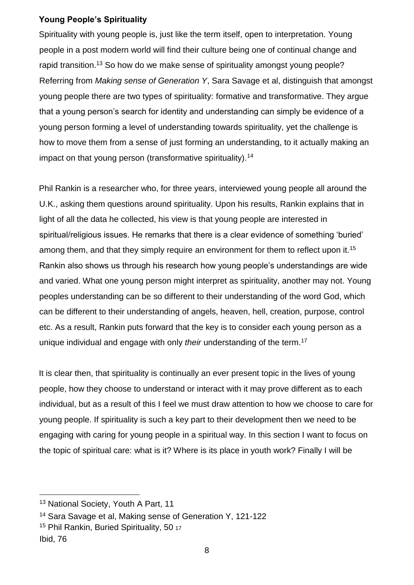# **Young People's Spirituality**

Spirituality with young people is, just like the term itself, open to interpretation. Young people in a post modern world will find their culture being one of continual change and rapid transition.<sup>13</sup> So how do we make sense of spirituality amongst young people? Referring from *Making sense of Generation Y*, Sara Savage et al, distinguish that amongst young people there are two types of spirituality: formative and transformative. They argue that a young person's search for identity and understanding can simply be evidence of a young person forming a level of understanding towards spirituality, yet the challenge is how to move them from a sense of just forming an understanding, to it actually making an impact on that young person (transformative spirituality).<sup>14</sup>

Phil Rankin is a researcher who, for three years, interviewed young people all around the U.K., asking them questions around spirituality. Upon his results, Rankin explains that in light of all the data he collected, his view is that young people are interested in spiritual/religious issues. He remarks that there is a clear evidence of something ʻburied' among them, and that they simply require an environment for them to reflect upon it.<sup>15</sup> Rankin also shows us through his research how young people's understandings are wide and varied. What one young person might interpret as spirituality, another may not. Young peoples understanding can be so different to their understanding of the word God, which can be different to their understanding of angels, heaven, hell, creation, purpose, control etc. As a result, Rankin puts forward that the key is to consider each young person as a unique individual and engage with only *their* understanding of the term.<sup>17</sup>

It is clear then, that spirituality is continually an ever present topic in the lives of young people, how they choose to understand or interact with it may prove different as to each individual, but as a result of this I feel we must draw attention to how we choose to care for young people. If spirituality is such a key part to their development then we need to be engaging with caring for young people in a spiritual way. In this section I want to focus on the topic of spiritual care: what is it? Where is its place in youth work? Finally I will be

<sup>13</sup> National Society, Youth A Part, 11

<sup>14</sup> Sara Savage et al, Making sense of Generation Y, 121-122

<sup>&</sup>lt;sup>15</sup> Phil Rankin, Buried Spirituality, 50 17

Ibid, 76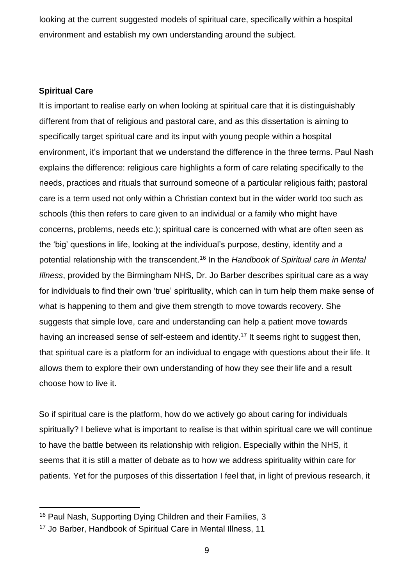looking at the current suggested models of spiritual care, specifically within a hospital environment and establish my own understanding around the subject.

## **Spiritual Care**

l

It is important to realise early on when looking at spiritual care that it is distinguishably different from that of religious and pastoral care, and as this dissertation is aiming to specifically target spiritual care and its input with young people within a hospital environment, it's important that we understand the difference in the three terms. Paul Nash explains the difference: religious care highlights a form of care relating specifically to the needs, practices and rituals that surround someone of a particular religious faith; pastoral care is a term used not only within a Christian context but in the wider world too such as schools (this then refers to care given to an individual or a family who might have concerns, problems, needs etc.); spiritual care is concerned with what are often seen as the ʻbig' questions in life, looking at the individual's purpose, destiny, identity and a potential relationship with the transcendent.<sup>16</sup> In the *Handbook of Spiritual care in Mental Illness*, provided by the Birmingham NHS, Dr. Jo Barber describes spiritual care as a way for individuals to find their own ʻtrue' spirituality, which can in turn help them make sense of what is happening to them and give them strength to move towards recovery. She suggests that simple love, care and understanding can help a patient move towards having an increased sense of self-esteem and identity.<sup>17</sup> It seems right to suggest then, that spiritual care is a platform for an individual to engage with questions about their life. It allows them to explore their own understanding of how they see their life and a result choose how to live it.

So if spiritual care is the platform, how do we actively go about caring for individuals spiritually? I believe what is important to realise is that within spiritual care we will continue to have the battle between its relationship with religion. Especially within the NHS, it seems that it is still a matter of debate as to how we address spirituality within care for patients. Yet for the purposes of this dissertation I feel that, in light of previous research, it

<sup>16</sup> Paul Nash, Supporting Dying Children and their Families, 3

<sup>17</sup> Jo Barber, Handbook of Spiritual Care in Mental Illness, 11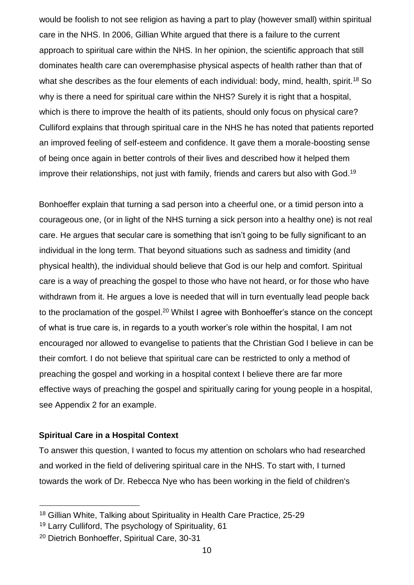would be foolish to not see religion as having a part to play (however small) within spiritual care in the NHS. In 2006, Gillian White argued that there is a failure to the current approach to spiritual care within the NHS. In her opinion, the scientific approach that still dominates health care can overemphasise physical aspects of health rather than that of what she describes as the four elements of each individual: body, mind, health, spirit.<sup>18</sup> So why is there a need for spiritual care within the NHS? Surely it is right that a hospital, which is there to improve the health of its patients, should only focus on physical care? Culliford explains that through spiritual care in the NHS he has noted that patients reported an improved feeling of self-esteem and confidence. It gave them a morale-boosting sense of being once again in better controls of their lives and described how it helped them improve their relationships, not just with family, friends and carers but also with God.<sup>19</sup>

Bonhoeffer explain that turning a sad person into a cheerful one, or a timid person into a courageous one, (or in light of the NHS turning a sick person into a healthy one) is not real care. He argues that secular care is something that isn't going to be fully significant to an individual in the long term. That beyond situations such as sadness and timidity (and physical health), the individual should believe that God is our help and comfort. Spiritual care is a way of preaching the gospel to those who have not heard, or for those who have withdrawn from it. He argues a love is needed that will in turn eventually lead people back to the proclamation of the gospel.<sup>20</sup> Whilst I agree with Bonhoeffer's stance on the concept of what is true care is, in regards to a youth worker's role within the hospital, I am not encouraged nor allowed to evangelise to patients that the Christian God I believe in can be their comfort. I do not believe that spiritual care can be restricted to only a method of preaching the gospel and working in a hospital context I believe there are far more effective ways of preaching the gospel and spiritually caring for young people in a hospital, see Appendix 2 for an example.

## **Spiritual Care in a Hospital Context**

l

To answer this question, I wanted to focus my attention on scholars who had researched and worked in the field of delivering spiritual care in the NHS. To start with, I turned towards the work of Dr. Rebecca Nye who has been working in the field of children's

<sup>&</sup>lt;sup>18</sup> Gillian White, Talking about Spirituality in Health Care Practice, 25-29

<sup>19</sup> Larry Culliford, The psychology of Spirituality, 61

<sup>20</sup> Dietrich Bonhoeffer, Spiritual Care, 30-31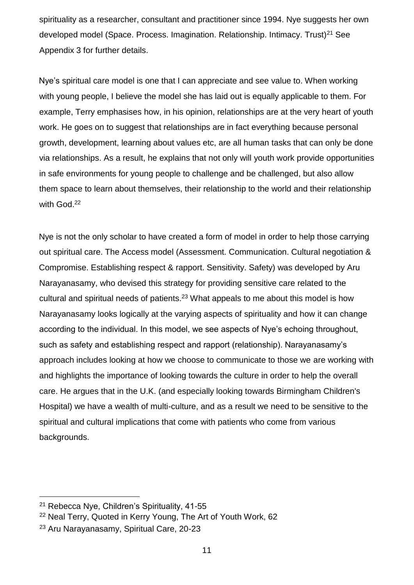spirituality as a researcher, consultant and practitioner since 1994. Nye suggests her own developed model (Space. Process. Imagination. Relationship. Intimacy. Trust)<sup>21</sup> See Appendix 3 for further details.

Nye's spiritual care model is one that I can appreciate and see value to. When working with young people, I believe the model she has laid out is equally applicable to them. For example, Terry emphasises how, in his opinion, relationships are at the very heart of youth work. He goes on to suggest that relationships are in fact everything because personal growth, development, learning about values etc, are all human tasks that can only be done via relationships. As a result, he explains that not only will youth work provide opportunities in safe environments for young people to challenge and be challenged, but also allow them space to learn about themselves, their relationship to the world and their relationship with God.<sup>22</sup>

Nye is not the only scholar to have created a form of model in order to help those carrying out spiritual care. The Access model (Assessment. Communication. Cultural negotiation & Compromise. Establishing respect & rapport. Sensitivity. Safety) was developed by Aru Narayanasamy, who devised this strategy for providing sensitive care related to the cultural and spiritual needs of patients.<sup>23</sup> What appeals to me about this model is how Narayanasamy looks logically at the varying aspects of spirituality and how it can change according to the individual. In this model, we see aspects of Nye's echoing throughout, such as safety and establishing respect and rapport (relationship). Narayanasamy's approach includes looking at how we choose to communicate to those we are working with and highlights the importance of looking towards the culture in order to help the overall care. He argues that in the U.K. (and especially looking towards Birmingham Children's Hospital) we have a wealth of multi-culture, and as a result we need to be sensitive to the spiritual and cultural implications that come with patients who come from various backgrounds.

<sup>21</sup> Rebecca Nye, Children's Spirituality, 41-55

<sup>22</sup> Neal Terry, Quoted in Kerry Young, The Art of Youth Work, 62

<sup>23</sup> Aru Narayanasamy, Spiritual Care, 20-23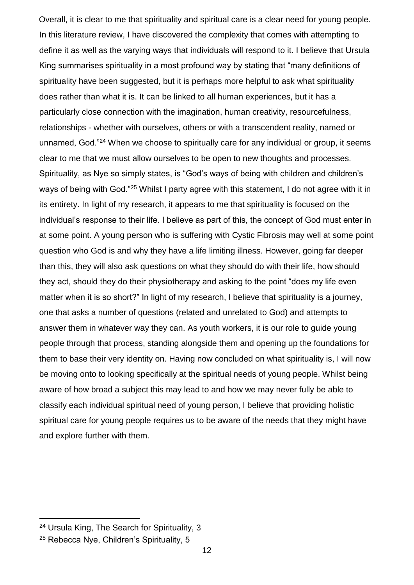Overall, it is clear to me that spirituality and spiritual care is a clear need for young people. In this literature review, I have discovered the complexity that comes with attempting to define it as well as the varying ways that individuals will respond to it. I believe that Ursula King summarises spirituality in a most profound way by stating that "many definitions of spirituality have been suggested, but it is perhaps more helpful to ask what spirituality does rather than what it is. It can be linked to all human experiences, but it has a particularly close connection with the imagination, human creativity, resourcefulness, relationships - whether with ourselves, others or with a transcendent reality, named or unnamed, God."<sup>24</sup> When we choose to spiritually care for any individual or group, it seems clear to me that we must allow ourselves to be open to new thoughts and processes. Spirituality, as Nye so simply states, is "God's ways of being with children and children's ways of being with God."<sup>25</sup> Whilst I party agree with this statement, I do not agree with it in its entirety. In light of my research, it appears to me that spirituality is focused on the individual's response to their life. I believe as part of this, the concept of God must enter in at some point. A young person who is suffering with Cystic Fibrosis may well at some point question who God is and why they have a life limiting illness. However, going far deeper than this, they will also ask questions on what they should do with their life, how should they act, should they do their physiotherapy and asking to the point "does my life even matter when it is so short?" In light of my research, I believe that spirituality is a journey, one that asks a number of questions (related and unrelated to God) and attempts to answer them in whatever way they can. As youth workers, it is our role to guide young people through that process, standing alongside them and opening up the foundations for them to base their very identity on. Having now concluded on what spirituality is, I will now be moving onto to looking specifically at the spiritual needs of young people. Whilst being aware of how broad a subject this may lead to and how we may never fully be able to classify each individual spiritual need of young person, I believe that providing holistic spiritual care for young people requires us to be aware of the needs that they might have and explore further with them.

<sup>24</sup> Ursula King, The Search for Spirituality, 3

<sup>&</sup>lt;sup>25</sup> Rebecca Nye, Children's Spirituality, 5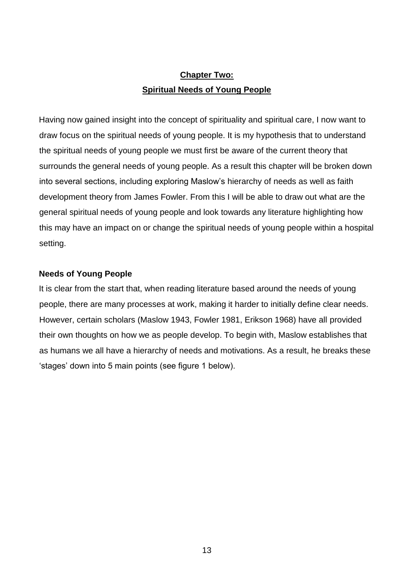# **Chapter Two: Spiritual Needs of Young People**

Having now gained insight into the concept of spirituality and spiritual care, I now want to draw focus on the spiritual needs of young people. It is my hypothesis that to understand the spiritual needs of young people we must first be aware of the current theory that surrounds the general needs of young people. As a result this chapter will be broken down into several sections, including exploring Maslow's hierarchy of needs as well as faith development theory from James Fowler. From this I will be able to draw out what are the general spiritual needs of young people and look towards any literature highlighting how this may have an impact on or change the spiritual needs of young people within a hospital setting.

## **Needs of Young People**

It is clear from the start that, when reading literature based around the needs of young people, there are many processes at work, making it harder to initially define clear needs. However, certain scholars (Maslow 1943, Fowler 1981, Erikson 1968) have all provided their own thoughts on how we as people develop. To begin with, Maslow establishes that as humans we all have a hierarchy of needs and motivations. As a result, he breaks these ʻstages' down into 5 main points (see figure 1 below).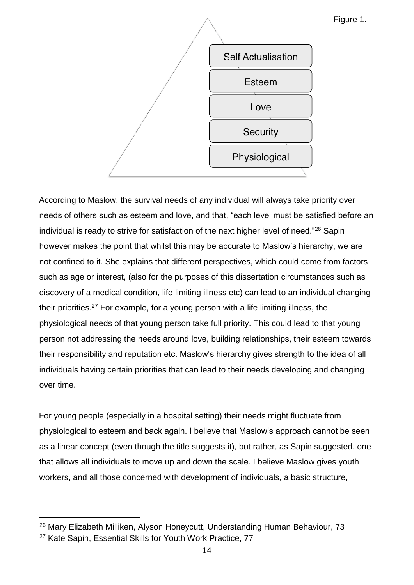

Figure 1.

According to Maslow, the survival needs of any individual will always take priority over needs of others such as esteem and love, and that, "each level must be satisfied before an individual is ready to strive for satisfaction of the next higher level of need."<sup>26</sup> Sapin however makes the point that whilst this may be accurate to Maslow's hierarchy, we are not confined to it. She explains that different perspectives, which could come from factors such as age or interest, (also for the purposes of this dissertation circumstances such as discovery of a medical condition, life limiting illness etc) can lead to an individual changing their priorities.<sup>27</sup> For example, for a young person with a life limiting illness, the physiological needs of that young person take full priority. This could lead to that young person not addressing the needs around love, building relationships, their esteem towards their responsibility and reputation etc. Maslow's hierarchy gives strength to the idea of all individuals having certain priorities that can lead to their needs developing and changing over time.

For young people (especially in a hospital setting) their needs might fluctuate from physiological to esteem and back again. I believe that Maslow's approach cannot be seen as a linear concept (even though the title suggests it), but rather, as Sapin suggested, one that allows all individuals to move up and down the scale. I believe Maslow gives youth workers, and all those concerned with development of individuals, a basic structure,

<sup>&</sup>lt;sup>26</sup> Mary Elizabeth Milliken, Alyson Honeycutt, Understanding Human Behaviour, 73

<sup>27</sup> Kate Sapin, Essential Skills for Youth Work Practice, 77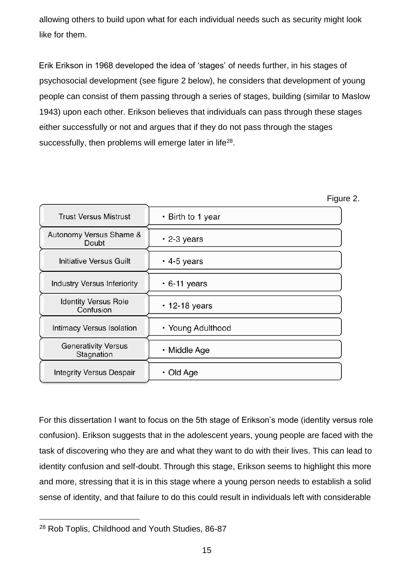allowing others to build upon what for each individual needs such as security might look like for them.

Erik Erikson in 1968 developed the idea of ʻstages' of needs further, in his stages of psychosocial development (see figure 2 below), he considers that development of young people can consist of them passing through a series of stages, building (similar to Maslow 1943) upon each other. Erikson believes that individuals can pass through these stages either successfully or not and argues that if they do not pass through the stages successfully, then problems will emerge later in life $^{28}$ .



For this dissertation I want to focus on the 5th stage of Erikson's mode (identity versus role confusion). Erikson suggests that in the adolescent years, young people are faced with the task of discovering who they are and what they want to do with their lives. This can lead to identity confusion and self-doubt. Through this stage, Erikson seems to highlight this more and more, stressing that it is in this stage where a young person needs to establish a solid sense of identity, and that failure to do this could result in individuals left with considerable

<sup>28</sup> Rob Toplis, Childhood and Youth Studies, 86-87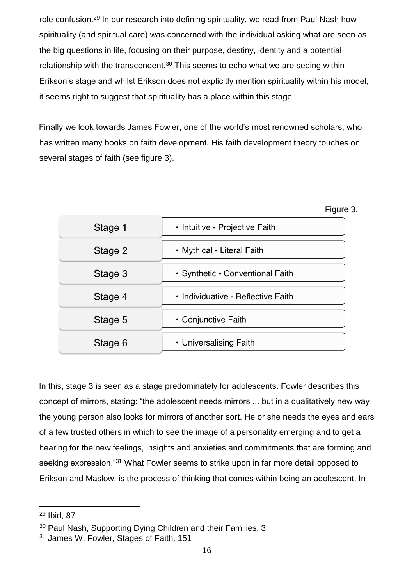role confusion.<sup>29</sup> In our research into defining spirituality, we read from Paul Nash how spirituality (and spiritual care) was concerned with the individual asking what are seen as the big questions in life, focusing on their purpose, destiny, identity and a potential relationship with the transcendent. $30$  This seems to echo what we are seeing within Erikson's stage and whilst Erikson does not explicitly mention spirituality within his model, it seems right to suggest that spirituality has a place within this stage.

Finally we look towards James Fowler, one of the world's most renowned scholars, who has written many books on faith development. His faith development theory touches on several stages of faith (see figure 3).

| Stage 1 | · Intuitive - Projective Faith     |
|---------|------------------------------------|
| Stage 2 | • Mythical - Literal Faith         |
| Stage 3 | • Synthetic - Conventional Faith   |
| Stage 4 | • Individuative - Reflective Faith |
| Stage 5 | • Conjunctive Faith                |
| Stage 6 | • Universalising Faith             |

Figure 3.

In this, stage 3 is seen as a stage predominately for adolescents. Fowler describes this concept of mirrors, stating: "the adolescent needs mirrors ... but in a qualitatively new way the young person also looks for mirrors of another sort. He or she needs the eyes and ears of a few trusted others in which to see the image of a personality emerging and to get a hearing for the new feelings, insights and anxieties and commitments that are forming and seeking expression."<sup>31</sup> What Fowler seems to strike upon in far more detail opposed to Erikson and Maslow, is the process of thinking that comes within being an adolescent. In

<sup>29</sup> Ibid, 87

<sup>&</sup>lt;sup>30</sup> Paul Nash, Supporting Dying Children and their Families, 3

<sup>31</sup> James W, Fowler, Stages of Faith, 151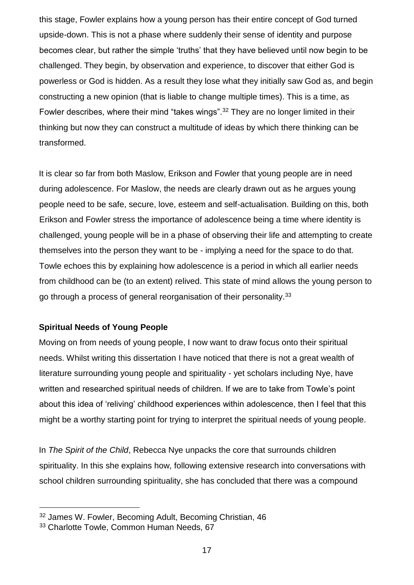this stage, Fowler explains how a young person has their entire concept of God turned upside-down. This is not a phase where suddenly their sense of identity and purpose becomes clear, but rather the simple ʻtruths' that they have believed until now begin to be challenged. They begin, by observation and experience, to discover that either God is powerless or God is hidden. As a result they lose what they initially saw God as, and begin constructing a new opinion (that is liable to change multiple times). This is a time, as Fowler describes, where their mind "takes wings".<sup>32</sup> They are no longer limited in their thinking but now they can construct a multitude of ideas by which there thinking can be transformed.

It is clear so far from both Maslow, Erikson and Fowler that young people are in need during adolescence. For Maslow, the needs are clearly drawn out as he argues young people need to be safe, secure, love, esteem and self-actualisation. Building on this, both Erikson and Fowler stress the importance of adolescence being a time where identity is challenged, young people will be in a phase of observing their life and attempting to create themselves into the person they want to be - implying a need for the space to do that. Towle echoes this by explaining how adolescence is a period in which all earlier needs from childhood can be (to an extent) relived. This state of mind allows the young person to go through a process of general reorganisation of their personality.<sup>33</sup>

# **Spiritual Needs of Young People**

Moving on from needs of young people, I now want to draw focus onto their spiritual needs. Whilst writing this dissertation I have noticed that there is not a great wealth of literature surrounding young people and spirituality - yet scholars including Nye, have written and researched spiritual needs of children. If we are to take from Towle's point about this idea of ʻreliving' childhood experiences within adolescence, then I feel that this might be a worthy starting point for trying to interpret the spiritual needs of young people.

In *The Spirit of the Child*, Rebecca Nye unpacks the core that surrounds children spirituality. In this she explains how, following extensive research into conversations with school children surrounding spirituality, she has concluded that there was a compound

<sup>32</sup> James W. Fowler, Becoming Adult, Becoming Christian, 46

<sup>33</sup> Charlotte Towle, Common Human Needs, 67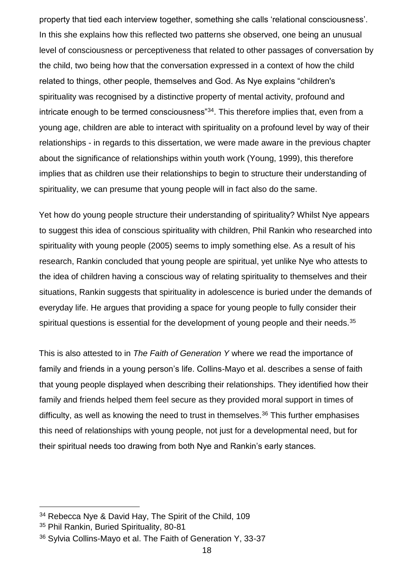property that tied each interview together, something she calls ʻrelational consciousness'. In this she explains how this reflected two patterns she observed, one being an unusual level of consciousness or perceptiveness that related to other passages of conversation by the child, two being how that the conversation expressed in a context of how the child related to things, other people, themselves and God. As Nye explains "children's spirituality was recognised by a distinctive property of mental activity, profound and intricate enough to be termed consciousness"<sup>34</sup>. This therefore implies that, even from a young age, children are able to interact with spirituality on a profound level by way of their relationships - in regards to this dissertation, we were made aware in the previous chapter about the significance of relationships within youth work (Young, 1999), this therefore implies that as children use their relationships to begin to structure their understanding of spirituality, we can presume that young people will in fact also do the same.

Yet how do young people structure their understanding of spirituality? Whilst Nye appears to suggest this idea of conscious spirituality with children, Phil Rankin who researched into spirituality with young people (2005) seems to imply something else. As a result of his research, Rankin concluded that young people are spiritual, yet unlike Nye who attests to the idea of children having a conscious way of relating spirituality to themselves and their situations, Rankin suggests that spirituality in adolescence is buried under the demands of everyday life. He argues that providing a space for young people to fully consider their spiritual questions is essential for the development of young people and their needs.<sup>35</sup>

This is also attested to in *The Faith of Generation Y* where we read the importance of family and friends in a young person's life. Collins-Mayo et al. describes a sense of faith that young people displayed when describing their relationships. They identified how their family and friends helped them feel secure as they provided moral support in times of difficulty, as well as knowing the need to trust in themselves.<sup>36</sup> This further emphasises this need of relationships with young people, not just for a developmental need, but for their spiritual needs too drawing from both Nye and Rankin's early stances.

 $\overline{a}$ 

<sup>&</sup>lt;sup>34</sup> Rebecca Nye & David Hay, The Spirit of the Child, 109

<sup>35</sup> Phil Rankin, Buried Spirituality, 80-81

<sup>36</sup> Sylvia Collins-Mayo et al. The Faith of Generation Y, 33-37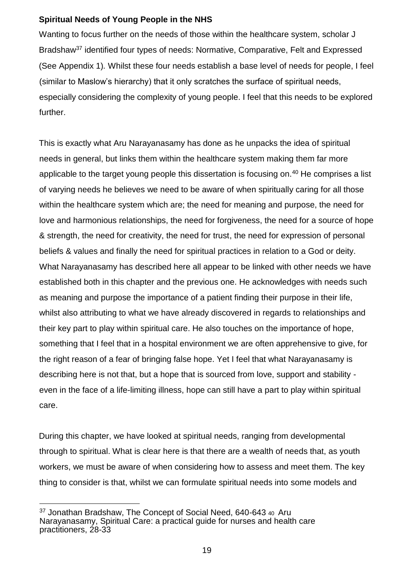# **Spiritual Needs of Young People in the NHS**

Wanting to focus further on the needs of those within the healthcare system, scholar J Bradshaw<sup>37</sup> identified four types of needs: Normative, Comparative, Felt and Expressed (See Appendix 1)*.* Whilst these four needs establish a base level of needs for people, I feel (similar to Maslow's hierarchy) that it only scratches the surface of spiritual needs, especially considering the complexity of young people. I feel that this needs to be explored further.

This is exactly what Aru Narayanasamy has done as he unpacks the idea of spiritual needs in general, but links them within the healthcare system making them far more applicable to the target young people this dissertation is focusing on.<sup>40</sup> He comprises a list of varying needs he believes we need to be aware of when spiritually caring for all those within the healthcare system which are; the need for meaning and purpose, the need for love and harmonious relationships, the need for forgiveness, the need for a source of hope & strength, the need for creativity, the need for trust, the need for expression of personal beliefs & values and finally the need for spiritual practices in relation to a God or deity. What Narayanasamy has described here all appear to be linked with other needs we have established both in this chapter and the previous one. He acknowledges with needs such as meaning and purpose the importance of a patient finding their purpose in their life, whilst also attributing to what we have already discovered in regards to relationships and their key part to play within spiritual care. He also touches on the importance of hope, something that I feel that in a hospital environment we are often apprehensive to give, for the right reason of a fear of bringing false hope. Yet I feel that what Narayanasamy is describing here is not that, but a hope that is sourced from love, support and stability even in the face of a life-limiting illness, hope can still have a part to play within spiritual care.

During this chapter, we have looked at spiritual needs, ranging from developmental through to spiritual. What is clear here is that there are a wealth of needs that, as youth workers, we must be aware of when considering how to assess and meet them. The key thing to consider is that, whilst we can formulate spiritual needs into some models and

<sup>&</sup>lt;sup>37</sup> Jonathan Bradshaw, The Concept of Social Need, 640-643 40 Aru Narayanasamy, Spiritual Care: a practical guide for nurses and health care practitioners, 28-33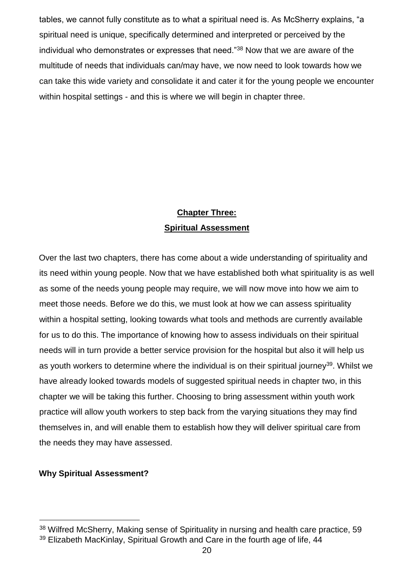tables, we cannot fully constitute as to what a spiritual need is. As McSherry explains, "a spiritual need is unique, specifically determined and interpreted or perceived by the individual who demonstrates or expresses that need."<sup>38</sup> Now that we are aware of the multitude of needs that individuals can/may have, we now need to look towards how we can take this wide variety and consolidate it and cater it for the young people we encounter within hospital settings - and this is where we will begin in chapter three.

# **Chapter Three: Spiritual Assessment**

Over the last two chapters, there has come about a wide understanding of spirituality and its need within young people. Now that we have established both what spirituality is as well as some of the needs young people may require, we will now move into how we aim to meet those needs. Before we do this, we must look at how we can assess spirituality within a hospital setting, looking towards what tools and methods are currently available for us to do this. The importance of knowing how to assess individuals on their spiritual needs will in turn provide a better service provision for the hospital but also it will help us as youth workers to determine where the individual is on their spiritual journey<sup>39</sup>. Whilst we have already looked towards models of suggested spiritual needs in chapter two, in this chapter we will be taking this further. Choosing to bring assessment within youth work practice will allow youth workers to step back from the varying situations they may find themselves in, and will enable them to establish how they will deliver spiritual care from the needs they may have assessed.

# **Why Spiritual Assessment?**

<sup>38</sup> Wilfred McSherry, Making sense of Spirituality in nursing and health care practice, 59

<sup>&</sup>lt;sup>39</sup> Elizabeth MacKinlay, Spiritual Growth and Care in the fourth age of life, 44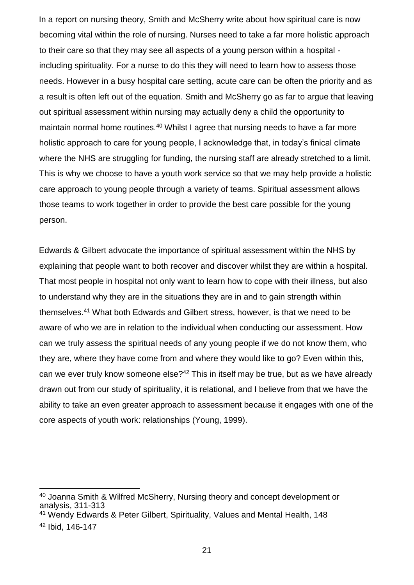In a report on nursing theory, Smith and McSherry write about how spiritual care is now becoming vital within the role of nursing. Nurses need to take a far more holistic approach to their care so that they may see all aspects of a young person within a hospital including spirituality. For a nurse to do this they will need to learn how to assess those needs. However in a busy hospital care setting, acute care can be often the priority and as a result is often left out of the equation. Smith and McSherry go as far to argue that leaving out spiritual assessment within nursing may actually deny a child the opportunity to maintain normal home routines.<sup>40</sup> Whilst I agree that nursing needs to have a far more holistic approach to care for young people, I acknowledge that, in today's finical climate where the NHS are struggling for funding, the nursing staff are already stretched to a limit. This is why we choose to have a youth work service so that we may help provide a holistic care approach to young people through a variety of teams. Spiritual assessment allows those teams to work together in order to provide the best care possible for the young person.

Edwards & Gilbert advocate the importance of spiritual assessment within the NHS by explaining that people want to both recover and discover whilst they are within a hospital. That most people in hospital not only want to learn how to cope with their illness, but also to understand why they are in the situations they are in and to gain strength within themselves.<sup>41</sup> What both Edwards and Gilbert stress, however, is that we need to be aware of who we are in relation to the individual when conducting our assessment. How can we truly assess the spiritual needs of any young people if we do not know them, who they are, where they have come from and where they would like to go? Even within this, can we ever truly know someone else?<sup>42</sup> This in itself may be true, but as we have already drawn out from our study of spirituality, it is relational, and I believe from that we have the ability to take an even greater approach to assessment because it engages with one of the core aspects of youth work: relationships (Young, 1999).

<sup>40</sup> Joanna Smith & Wilfred McSherry, Nursing theory and concept development or analysis, 311-313

<sup>41</sup> Wendy Edwards & Peter Gilbert, Spirituality, Values and Mental Health, 148 <sup>42</sup> Ibid, 146-147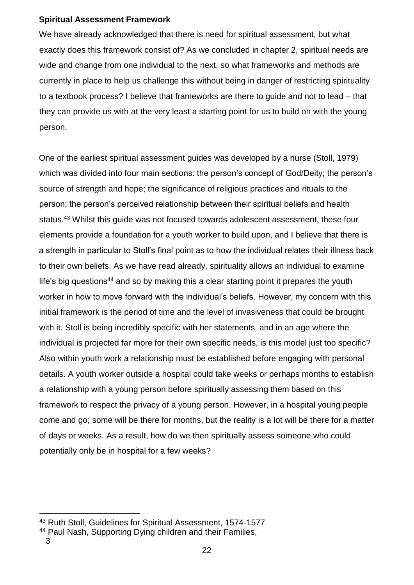# **Spiritual Assessment Framework**

We have already acknowledged that there is need for spiritual assessment, but what exactly does this framework consist of? As we concluded in chapter 2, spiritual needs are wide and change from one individual to the next, so what frameworks and methods are currently in place to help us challenge this without being in danger of restricting spirituality to a textbook process? I believe that frameworks are there to guide and not to lead – that they can provide us with at the very least a starting point for us to build on with the young person.

One of the earliest spiritual assessment guides was developed by a nurse (Stoll, 1979) which was divided into four main sections: the person's concept of God/Deity; the person's source of strength and hope; the significance of religious practices and rituals to the person; the person's perceived relationship between their spiritual beliefs and health status.<sup>43</sup> Whilst this guide was not focused towards adolescent assessment, these four elements provide a foundation for a youth worker to build upon, and I believe that there is a strength in particular to Stoll's final point as to how the individual relates their illness back to their own beliefs. As we have read already, spirituality allows an individual to examine life's big questions<sup>44</sup> and so by making this a clear starting point it prepares the youth worker in how to move forward with the individual's beliefs. However, my concern with this initial framework is the period of time and the level of invasiveness that could be brought with it. Stoll is being incredibly specific with her statements, and in an age where the individual is projected far more for their own specific needs, is this model just too specific? Also within youth work a relationship must be established before engaging with personal details. A youth worker outside a hospital could take weeks or perhaps months to establish a relationship with a young person before spiritually assessing them based on this framework to respect the privacy of a young person. However, in a hospital young people come and go; some will be there for months, but the reality is a lot will be there for a matter of days or weeks. As a result, how do we then spiritually assess someone who could potentially only be in hospital for a few weeks?

<sup>43</sup> Ruth Stoll, Guidelines for Spiritual Assessment, 1574-1577

<sup>44</sup> Paul Nash, Supporting Dying children and their Families,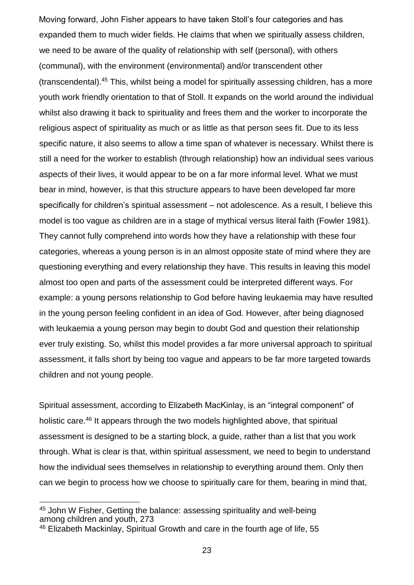Moving forward, John Fisher appears to have taken Stoll's four categories and has expanded them to much wider fields. He claims that when we spiritually assess children, we need to be aware of the quality of relationship with self (personal), with others (communal), with the environment (environmental) and/or transcendent other (transcendental).<sup>45</sup> This, whilst being a model for spiritually assessing children, has a more youth work friendly orientation to that of Stoll. It expands on the world around the individual whilst also drawing it back to spirituality and frees them and the worker to incorporate the religious aspect of spirituality as much or as little as that person sees fit. Due to its less specific nature, it also seems to allow a time span of whatever is necessary. Whilst there is still a need for the worker to establish (through relationship) how an individual sees various aspects of their lives, it would appear to be on a far more informal level. What we must bear in mind, however, is that this structure appears to have been developed far more specifically for children's spiritual assessment – not adolescence. As a result, I believe this model is too vague as children are in a stage of mythical versus literal faith (Fowler 1981). They cannot fully comprehend into words how they have a relationship with these four categories, whereas a young person is in an almost opposite state of mind where they are questioning everything and every relationship they have. This results in leaving this model almost too open and parts of the assessment could be interpreted different ways. For example: a young persons relationship to God before having leukaemia may have resulted in the young person feeling confident in an idea of God. However, after being diagnosed with leukaemia a young person may begin to doubt God and question their relationship ever truly existing. So, whilst this model provides a far more universal approach to spiritual assessment, it falls short by being too vague and appears to be far more targeted towards children and not young people.

Spiritual assessment, according to Elizabeth MacKinlay, is an "integral component" of holistic care.<sup>46</sup> It appears through the two models highlighted above, that spiritual assessment is designed to be a starting block, a guide, rather than a list that you work through. What is clear is that, within spiritual assessment, we need to begin to understand how the individual sees themselves in relationship to everything around them. Only then can we begin to process how we choose to spiritually care for them, bearing in mind that,

<sup>45</sup> John W Fisher, Getting the balance: assessing spirituality and well-being among children and youth, 273

<sup>46</sup> Elizabeth Mackinlay, Spiritual Growth and care in the fourth age of life, 55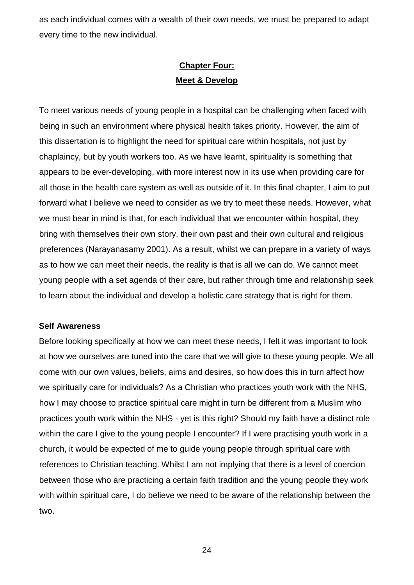as each individual comes with a wealth of their *own* needs, we must be prepared to adapt every time to the new individual.

# **Chapter Four: Meet & Develop**

To meet various needs of young people in a hospital can be challenging when faced with being in such an environment where physical health takes priority. However, the aim of this dissertation is to highlight the need for spiritual care within hospitals, not just by chaplaincy, but by youth workers too. As we have learnt, spirituality is something that appears to be ever-developing, with more interest now in its use when providing care for all those in the health care system as well as outside of it. In this final chapter, I aim to put forward what I believe we need to consider as we try to meet these needs. However, what we must bear in mind is that, for each individual that we encounter within hospital, they bring with themselves their own story, their own past and their own cultural and religious preferences (Narayanasamy 2001). As a result, whilst we can prepare in a variety of ways as to how we can meet their needs, the reality is that is all we can do. We cannot meet young people with a set agenda of their care, but rather through time and relationship seek to learn about the individual and develop a holistic care strategy that is right for them.

#### **Self Awareness**

Before looking specifically at how we can meet these needs, I felt it was important to look at how we ourselves are tuned into the care that we will give to these young people. We all come with our own values, beliefs, aims and desires, so how does this in turn affect how we spiritually care for individuals? As a Christian who practices youth work with the NHS, how I may choose to practice spiritual care might in turn be different from a Muslim who practices youth work within the NHS - yet is this right? Should my faith have a distinct role within the care I give to the young people I encounter? If I were practising youth work in a church, it would be expected of me to guide young people through spiritual care with references to Christian teaching. Whilst I am not implying that there is a level of coercion between those who are practicing a certain faith tradition and the young people they work with within spiritual care, I do believe we need to be aware of the relationship between the two.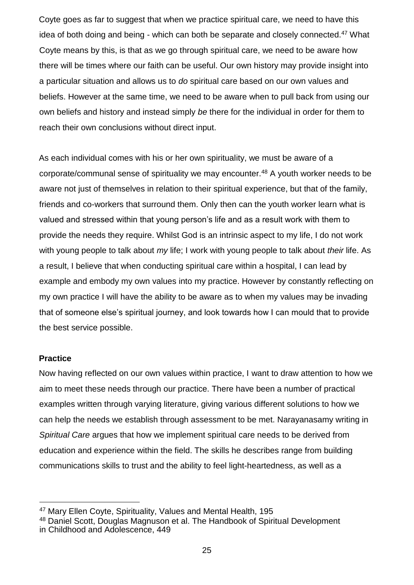Coyte goes as far to suggest that when we practice spiritual care, we need to have this idea of both doing and being - which can both be separate and closely connected.<sup>47</sup> What Coyte means by this, is that as we go through spiritual care, we need to be aware how there will be times where our faith can be useful. Our own history may provide insight into a particular situation and allows us to *do* spiritual care based on our own values and beliefs. However at the same time, we need to be aware when to pull back from using our own beliefs and history and instead simply *be* there for the individual in order for them to reach their own conclusions without direct input.

As each individual comes with his or her own spirituality, we must be aware of a corporate/communal sense of spirituality we may encounter.<sup>48</sup> A youth worker needs to be aware not just of themselves in relation to their spiritual experience, but that of the family, friends and co-workers that surround them. Only then can the youth worker learn what is valued and stressed within that young person's life and as a result work with them to provide the needs they require. Whilst God is an intrinsic aspect to my life, I do not work with young people to talk about *my* life; I work with young people to talk about *their* life. As a result, I believe that when conducting spiritual care within a hospital, I can lead by example and embody my own values into my practice. However by constantly reflecting on my own practice I will have the ability to be aware as to when my values may be invading that of someone else's spiritual journey, and look towards how I can mould that to provide the best service possible.

## **Practice**

l

Now having reflected on our own values within practice, I want to draw attention to how we aim to meet these needs through our practice. There have been a number of practical examples written through varying literature, giving various different solutions to how we can help the needs we establish through assessment to be met. Narayanasamy writing in *Spiritual Care* argues that how we implement spiritual care needs to be derived from education and experience within the field. The skills he describes range from building communications skills to trust and the ability to feel light-heartedness, as well as a

<sup>47</sup> Mary Ellen Coyte, Spirituality, Values and Mental Health, 195

<sup>48</sup> Daniel Scott, Douglas Magnuson et al. The Handbook of Spiritual Development in Childhood and Adolescence, 449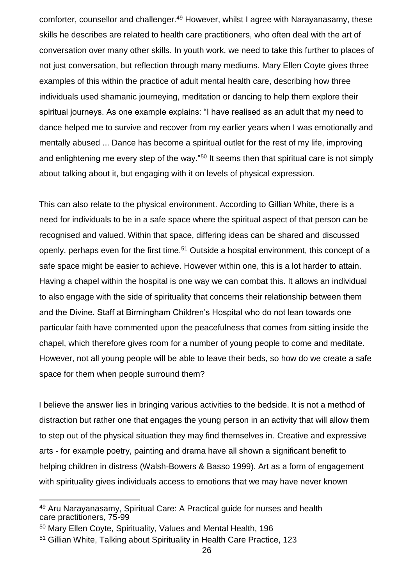comforter, counsellor and challenger.<sup>49</sup> However, whilst I agree with Narayanasamy, these skills he describes are related to health care practitioners, who often deal with the art of conversation over many other skills. In youth work, we need to take this further to places of not just conversation, but reflection through many mediums. Mary Ellen Coyte gives three examples of this within the practice of adult mental health care, describing how three individuals used shamanic journeying, meditation or dancing to help them explore their spiritual journeys. As one example explains: "I have realised as an adult that my need to dance helped me to survive and recover from my earlier years when I was emotionally and mentally abused ... Dance has become a spiritual outlet for the rest of my life, improving and enlightening me every step of the way."<sup>50</sup> It seems then that spiritual care is not simply about talking about it, but engaging with it on levels of physical expression.

This can also relate to the physical environment. According to Gillian White, there is a need for individuals to be in a safe space where the spiritual aspect of that person can be recognised and valued. Within that space, differing ideas can be shared and discussed openly, perhaps even for the first time.<sup>51</sup> Outside a hospital environment, this concept of a safe space might be easier to achieve. However within one, this is a lot harder to attain. Having a chapel within the hospital is one way we can combat this. It allows an individual to also engage with the side of spirituality that concerns their relationship between them and the Divine. Staff at Birmingham Children's Hospital who do not lean towards one particular faith have commented upon the peacefulness that comes from sitting inside the chapel, which therefore gives room for a number of young people to come and meditate. However, not all young people will be able to leave their beds, so how do we create a safe space for them when people surround them?

I believe the answer lies in bringing various activities to the bedside. It is not a method of distraction but rather one that engages the young person in an activity that will allow them to step out of the physical situation they may find themselves in. Creative and expressive arts - for example poetry, painting and drama have all shown a significant benefit to helping children in distress (Walsh-Bowers & Basso 1999). Art as a form of engagement with spirituality gives individuals access to emotions that we may have never known

<sup>49</sup> Aru Narayanasamy, Spiritual Care: A Practical guide for nurses and health care practitioners, 75-99

<sup>50</sup> Mary Ellen Coyte, Spirituality, Values and Mental Health, 196

<sup>51</sup> Gillian White, Talking about Spirituality in Health Care Practice, 123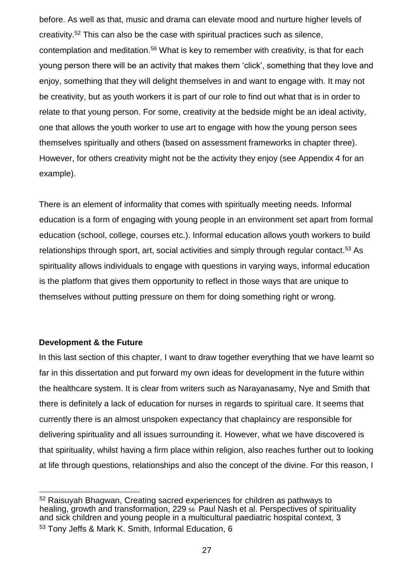before. As well as that, music and drama can elevate mood and nurture higher levels of creativity.<sup>52</sup> This can also be the case with spiritual practices such as silence, contemplation and meditation.<sup>56</sup> What is key to remember with creativity, is that for each young person there will be an activity that makes them ʻclick', something that they love and enjoy, something that they will delight themselves in and want to engage with. It may not be creativity, but as youth workers it is part of our role to find out what that is in order to relate to that young person. For some, creativity at the bedside might be an ideal activity, one that allows the youth worker to use art to engage with how the young person sees themselves spiritually and others (based on assessment frameworks in chapter three). However, for others creativity might not be the activity they enjoy (see Appendix 4 for an example).

There is an element of informality that comes with spiritually meeting needs. Informal education is a form of engaging with young people in an environment set apart from formal education (school, college, courses etc.). Informal education allows youth workers to build relationships through sport, art, social activities and simply through regular contact.<sup>53</sup> As spirituality allows individuals to engage with questions in varying ways, informal education is the platform that gives them opportunity to reflect in those ways that are unique to themselves without putting pressure on them for doing something right or wrong.

# **Development & the Future**

In this last section of this chapter, I want to draw together everything that we have learnt so far in this dissertation and put forward my own ideas for development in the future within the healthcare system. It is clear from writers such as Narayanasamy, Nye and Smith that there is definitely a lack of education for nurses in regards to spiritual care. It seems that currently there is an almost unspoken expectancy that chaplaincy are responsible for delivering spirituality and all issues surrounding it. However, what we have discovered is that spirituality, whilst having a firm place within religion, also reaches further out to looking at life through questions, relationships and also the concept of the divine. For this reason, I

l <sup>52</sup> Raisuyah Bhagwan, Creating sacred experiences for children as pathways to healing, growth and transformation, 229  $56$  Paul Nash et al. Perspectives of spirituality and sick children and young people in a multicultural paediatric hospital context, 3 <sup>53</sup> Tony Jeffs & Mark K. Smith, Informal Education, 6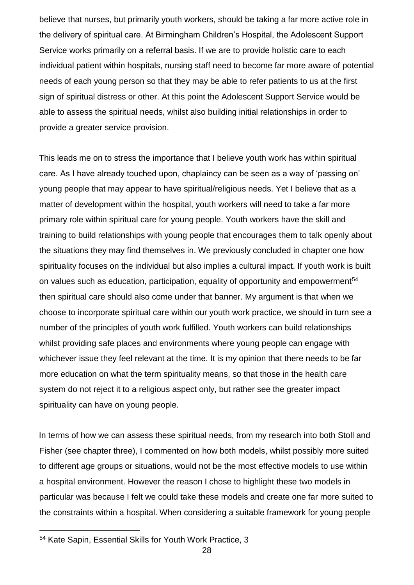believe that nurses, but primarily youth workers, should be taking a far more active role in the delivery of spiritual care. At Birmingham Children's Hospital, the Adolescent Support Service works primarily on a referral basis. If we are to provide holistic care to each individual patient within hospitals, nursing staff need to become far more aware of potential needs of each young person so that they may be able to refer patients to us at the first sign of spiritual distress or other. At this point the Adolescent Support Service would be able to assess the spiritual needs, whilst also building initial relationships in order to provide a greater service provision.

This leads me on to stress the importance that I believe youth work has within spiritual care. As I have already touched upon, chaplaincy can be seen as a way of ʻpassing on' young people that may appear to have spiritual/religious needs. Yet I believe that as a matter of development within the hospital, youth workers will need to take a far more primary role within spiritual care for young people. Youth workers have the skill and training to build relationships with young people that encourages them to talk openly about the situations they may find themselves in. We previously concluded in chapter one how spirituality focuses on the individual but also implies a cultural impact. If youth work is built on values such as education, participation, equality of opportunity and empowerment<sup>54</sup> then spiritual care should also come under that banner. My argument is that when we choose to incorporate spiritual care within our youth work practice, we should in turn see a number of the principles of youth work fulfilled. Youth workers can build relationships whilst providing safe places and environments where young people can engage with whichever issue they feel relevant at the time. It is my opinion that there needs to be far more education on what the term spirituality means, so that those in the health care system do not reject it to a religious aspect only, but rather see the greater impact spirituality can have on young people.

In terms of how we can assess these spiritual needs, from my research into both Stoll and Fisher (see chapter three), I commented on how both models, whilst possibly more suited to different age groups or situations, would not be the most effective models to use within a hospital environment. However the reason I chose to highlight these two models in particular was because I felt we could take these models and create one far more suited to the constraints within a hospital. When considering a suitable framework for young people

<sup>54</sup> Kate Sapin, Essential Skills for Youth Work Practice, 3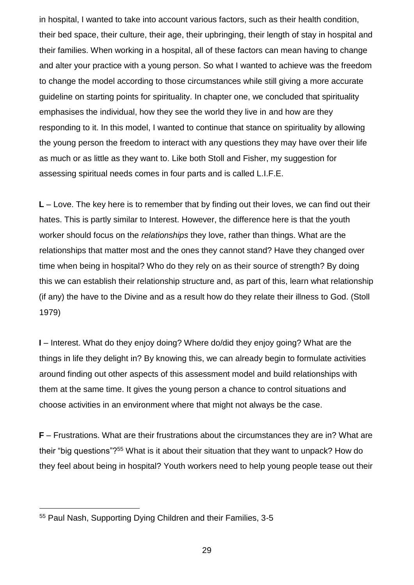in hospital, I wanted to take into account various factors, such as their health condition, their bed space, their culture, their age, their upbringing, their length of stay in hospital and their families. When working in a hospital, all of these factors can mean having to change and alter your practice with a young person. So what I wanted to achieve was the freedom to change the model according to those circumstances while still giving a more accurate guideline on starting points for spirituality. In chapter one, we concluded that spirituality emphasises the individual, how they see the world they live in and how are they responding to it. In this model, I wanted to continue that stance on spirituality by allowing the young person the freedom to interact with any questions they may have over their life as much or as little as they want to. Like both Stoll and Fisher, my suggestion for assessing spiritual needs comes in four parts and is called L.I.F.E.

**L** – Love. The key here is to remember that by finding out their loves, we can find out their hates. This is partly similar to Interest. However, the difference here is that the youth worker should focus on the *relationships* they love, rather than things. What are the relationships that matter most and the ones they cannot stand? Have they changed over time when being in hospital? Who do they rely on as their source of strength? By doing this we can establish their relationship structure and, as part of this, learn what relationship (if any) the have to the Divine and as a result how do they relate their illness to God. (Stoll 1979)

**I** – Interest. What do they enjoy doing? Where do/did they enjoy going? What are the things in life they delight in? By knowing this, we can already begin to formulate activities around finding out other aspects of this assessment model and build relationships with them at the same time. It gives the young person a chance to control situations and choose activities in an environment where that might not always be the case.

**F** – Frustrations. What are their frustrations about the circumstances they are in? What are their "big questions"?<sup>55</sup> What is it about their situation that they want to unpack? How do they feel about being in hospital? Youth workers need to help young people tease out their

<sup>55</sup> Paul Nash, Supporting Dying Children and their Families, 3-5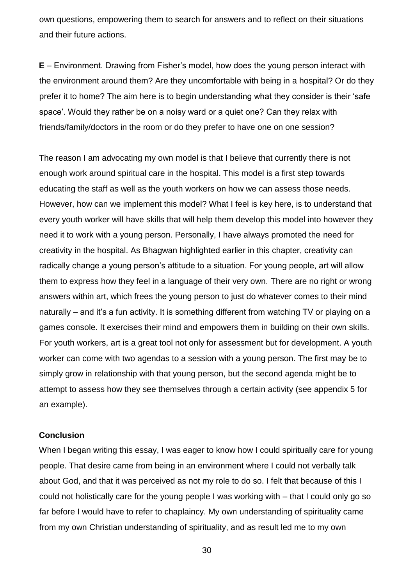own questions, empowering them to search for answers and to reflect on their situations and their future actions.

**E** – Environment. Drawing from Fisher's model, how does the young person interact with the environment around them? Are they uncomfortable with being in a hospital? Or do they prefer it to home? The aim here is to begin understanding what they consider is their ʻsafe space'. Would they rather be on a noisy ward or a quiet one? Can they relax with friends/family/doctors in the room or do they prefer to have one on one session?

The reason I am advocating my own model is that I believe that currently there is not enough work around spiritual care in the hospital. This model is a first step towards educating the staff as well as the youth workers on how we can assess those needs. However, how can we implement this model? What I feel is key here, is to understand that every youth worker will have skills that will help them develop this model into however they need it to work with a young person. Personally, I have always promoted the need for creativity in the hospital. As Bhagwan highlighted earlier in this chapter, creativity can radically change a young person's attitude to a situation. For young people, art will allow them to express how they feel in a language of their very own. There are no right or wrong answers within art, which frees the young person to just do whatever comes to their mind naturally – and it's a fun activity. It is something different from watching TV or playing on a games console. It exercises their mind and empowers them in building on their own skills. For youth workers, art is a great tool not only for assessment but for development. A youth worker can come with two agendas to a session with a young person. The first may be to simply grow in relationship with that young person, but the second agenda might be to attempt to assess how they see themselves through a certain activity (see appendix 5 for an example).

#### **Conclusion**

When I began writing this essay, I was eager to know how I could spiritually care for young people. That desire came from being in an environment where I could not verbally talk about God, and that it was perceived as not my role to do so. I felt that because of this I could not holistically care for the young people I was working with – that I could only go so far before I would have to refer to chaplaincy. My own understanding of spirituality came from my own Christian understanding of spirituality, and as result led me to my own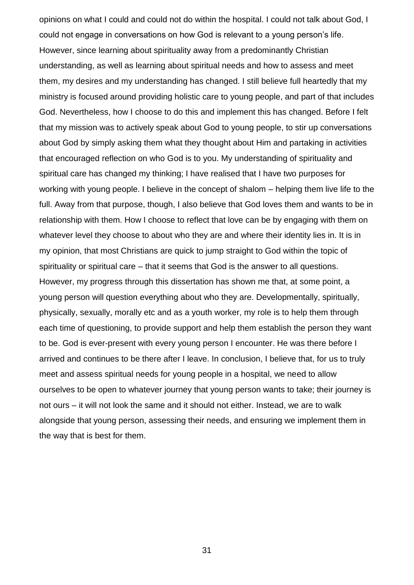opinions on what I could and could not do within the hospital. I could not talk about God, I could not engage in conversations on how God is relevant to a young person's life. However, since learning about spirituality away from a predominantly Christian understanding, as well as learning about spiritual needs and how to assess and meet them, my desires and my understanding has changed. I still believe full heartedly that my ministry is focused around providing holistic care to young people, and part of that includes God. Nevertheless, how I choose to do this and implement this has changed. Before I felt that my mission was to actively speak about God to young people, to stir up conversations about God by simply asking them what they thought about Him and partaking in activities that encouraged reflection on who God is to you. My understanding of spirituality and spiritual care has changed my thinking; I have realised that I have two purposes for working with young people. I believe in the concept of shalom – helping them live life to the full. Away from that purpose, though, I also believe that God loves them and wants to be in relationship with them. How I choose to reflect that love can be by engaging with them on whatever level they choose to about who they are and where their identity lies in. It is in my opinion, that most Christians are quick to jump straight to God within the topic of spirituality or spiritual care – that it seems that God is the answer to all questions. However, my progress through this dissertation has shown me that, at some point, a young person will question everything about who they are. Developmentally, spiritually, physically, sexually, morally etc and as a youth worker, my role is to help them through each time of questioning, to provide support and help them establish the person they want to be. God is ever-present with every young person I encounter. He was there before I arrived and continues to be there after I leave. In conclusion, I believe that, for us to truly meet and assess spiritual needs for young people in a hospital, we need to allow ourselves to be open to whatever journey that young person wants to take; their journey is not ours – it will not look the same and it should not either. Instead, we are to walk alongside that young person, assessing their needs, and ensuring we implement them in the way that is best for them.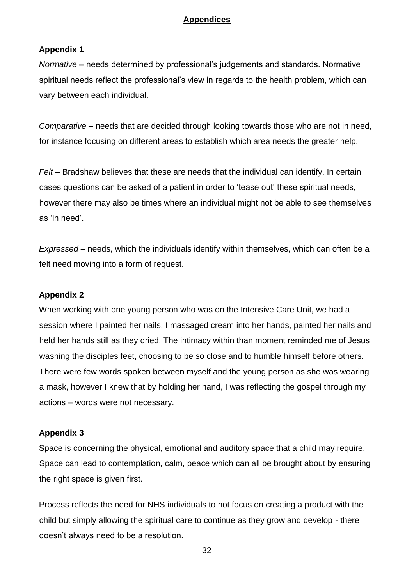# **Appendices**

# **Appendix 1**

*Normative* – needs determined by professional's judgements and standards. Normative spiritual needs reflect the professional's view in regards to the health problem, which can vary between each individual.

*Comparative* – needs that are decided through looking towards those who are not in need, for instance focusing on different areas to establish which area needs the greater help.

*Felt* – Bradshaw believes that these are needs that the individual can identify. In certain cases questions can be asked of a patient in order to ʻtease out' these spiritual needs, however there may also be times where an individual might not be able to see themselves as ʻin need'.

*Expressed* – needs, which the individuals identify within themselves, which can often be a felt need moving into a form of request.

# **Appendix 2**

When working with one young person who was on the Intensive Care Unit, we had a session where I painted her nails. I massaged cream into her hands, painted her nails and held her hands still as they dried. The intimacy within than moment reminded me of Jesus washing the disciples feet, choosing to be so close and to humble himself before others. There were few words spoken between myself and the young person as she was wearing a mask, however I knew that by holding her hand, I was reflecting the gospel through my actions – words were not necessary.

## **Appendix 3**

Space is concerning the physical, emotional and auditory space that a child may require. Space can lead to contemplation, calm, peace which can all be brought about by ensuring the right space is given first.

Process reflects the need for NHS individuals to not focus on creating a product with the child but simply allowing the spiritual care to continue as they grow and develop - there doesn't always need to be a resolution.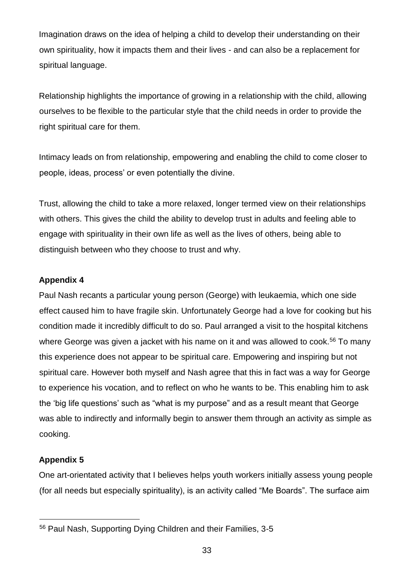Imagination draws on the idea of helping a child to develop their understanding on their own spirituality, how it impacts them and their lives - and can also be a replacement for spiritual language.

Relationship highlights the importance of growing in a relationship with the child, allowing ourselves to be flexible to the particular style that the child needs in order to provide the right spiritual care for them.

Intimacy leads on from relationship, empowering and enabling the child to come closer to people, ideas, process' or even potentially the divine.

Trust, allowing the child to take a more relaxed, longer termed view on their relationships with others. This gives the child the ability to develop trust in adults and feeling able to engage with spirituality in their own life as well as the lives of others, being able to distinguish between who they choose to trust and why.

# **Appendix 4**

Paul Nash recants a particular young person (George) with leukaemia, which one side effect caused him to have fragile skin. Unfortunately George had a love for cooking but his condition made it incredibly difficult to do so. Paul arranged a visit to the hospital kitchens where George was given a jacket with his name on it and was allowed to cook.<sup>56</sup> To many this experience does not appear to be spiritual care. Empowering and inspiring but not spiritual care. However both myself and Nash agree that this in fact was a way for George to experience his vocation, and to reflect on who he wants to be. This enabling him to ask the ʻbig life questions' such as "what is my purpose" and as a result meant that George was able to indirectly and informally begin to answer them through an activity as simple as cooking.

# **Appendix 5**

l

One art-orientated activity that I believes helps youth workers initially assess young people (for all needs but especially spirituality), is an activity called "Me Boards". The surface aim

<sup>56</sup> Paul Nash, Supporting Dying Children and their Families, 3-5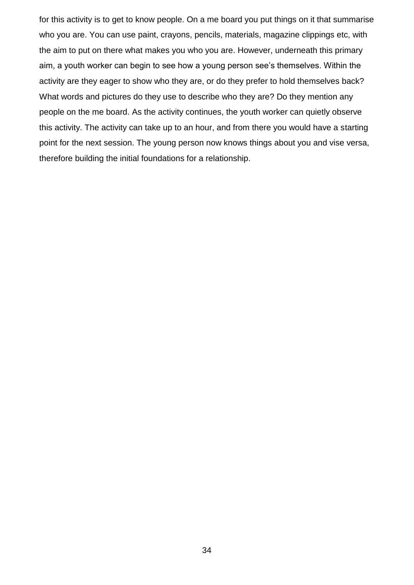for this activity is to get to know people. On a me board you put things on it that summarise who you are. You can use paint, crayons, pencils, materials, magazine clippings etc, with the aim to put on there what makes you who you are. However, underneath this primary aim, a youth worker can begin to see how a young person see's themselves. Within the activity are they eager to show who they are, or do they prefer to hold themselves back? What words and pictures do they use to describe who they are? Do they mention any people on the me board. As the activity continues, the youth worker can quietly observe this activity. The activity can take up to an hour, and from there you would have a starting point for the next session. The young person now knows things about you and vise versa, therefore building the initial foundations for a relationship.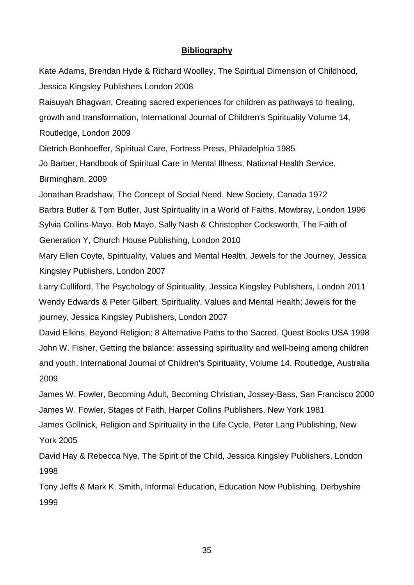# **Bibliography**

Kate Adams, Brendan Hyde & Richard Woolley, The Spiritual Dimension of Childhood, Jessica Kingsley Publishers London 2008 Raisuyah Bhagwan, Creating sacred experiences for children as pathways to healing, growth and transformation, International Journal of Children's Spirituality Volume 14, Routledge, London 2009 Dietrich Bonhoeffer, Spiritual Care, Fortress Press, Philadelphia 1985 Jo Barber, Handbook of Spiritual Care in Mental Illness, National Health Service, Birmingham, 2009 Jonathan Bradshaw, The Concept of Social Need, New Society, Canada 1972 Barbra Butler & Tom Butler, Just Spirituality in a World of Faiths, Mowbray, London 1996 Sylvia Collins-Mayo, Bob Mayo, Sally Nash & Christopher Cocksworth, The Faith of Generation Y, Church House Publishing, London 2010 Mary Ellen Coyte, Spirituality, Values and Mental Health, Jewels for the Journey, Jessica Kingsley Publishers, London 2007 Larry Culliford, The Psychology of Spirituality, Jessica Kingsley Publishers, London 2011 Wendy Edwards & Peter Gilbert, Spirituality, Values and Mental Health; Jewels for the journey, Jessica Kingsley Publishers, London 2007 David Elkins, Beyond Religion; 8 Alternative Paths to the Sacred, Quest Books USA 1998 John W. Fisher, Getting the balance: assessing spirituality and well-being among children and youth, International Journal of Children's Spirituality, Volume 14, Routledge, Australia 2009 James W. Fowler, Becoming Adult, Becoming Christian, Jossey-Bass, San Francisco 2000 James W. Fowler, Stages of Faith, Harper Collins Publishers, New York 1981 James Gollnick, Religion and Spirituality in the Life Cycle, Peter Lang Publishing, New York 2005 David Hay & Rebecca Nye, The Spirit of the Child, Jessica Kingsley Publishers, London 1998

Tony Jeffs & Mark K. Smith, Informal Education, Education Now Publishing, Derbyshire 1999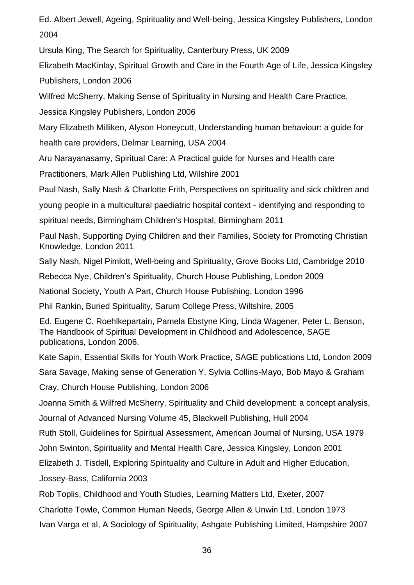Ed. Albert Jewell, Ageing, Spirituality and Well-being, Jessica Kingsley Publishers, London 2004

Ursula King, The Search for Spirituality, Canterbury Press, UK 2009

Elizabeth MacKinlay, Spiritual Growth and Care in the Fourth Age of Life, Jessica Kingsley Publishers, London 2006

Wilfred McSherry, Making Sense of Spirituality in Nursing and Health Care Practice,

Jessica Kingsley Publishers, London 2006

Mary Elizabeth Milliken, Alyson Honeycutt, Understanding human behaviour: a guide for

health care providers, Delmar Learning, USA 2004

Aru Narayanasamy, Spiritual Care: A Practical guide for Nurses and Health care

Practitioners, Mark Allen Publishing Ltd, Wilshire 2001

Paul Nash, Sally Nash & Charlotte Frith, Perspectives on spirituality and sick children and

young people in a multicultural paediatric hospital context - identifying and responding to

spiritual needs, Birmingham Children's Hospital, Birmingham 2011

Paul Nash, Supporting Dying Children and their Families, Society for Promoting Christian Knowledge, London 2011

Sally Nash, Nigel Pimlott, Well-being and Spirituality, Grove Books Ltd, Cambridge 2010

Rebecca Nye, Children's Spirituality, Church House Publishing, London 2009

National Society, Youth A Part, Church House Publishing, London 1996

Phil Rankin, Buried Spirituality, Sarum College Press, Wiltshire, 2005

Ed. Eugene C. Roehlkepartain, Pamela Ebstyne King, Linda Wagener, Peter L. Benson, The Handbook of Spiritual Development in Childhood and Adolescence, SAGE publications, London 2006.

Kate Sapin, Essential Skills for Youth Work Practice, SAGE publications Ltd, London 2009

Sara Savage, Making sense of Generation Y, Sylvia Collins-Mayo, Bob Mayo & Graham

Cray, Church House Publishing, London 2006

Joanna Smith & Wilfred McSherry, Spirituality and Child development: a concept analysis,

Journal of Advanced Nursing Volume 45, Blackwell Publishing, Hull 2004

Ruth Stoll, Guidelines for Spiritual Assessment, American Journal of Nursing, USA 1979

John Swinton, Spirituality and Mental Health Care, Jessica Kingsley, London 2001

Elizabeth J. Tisdell, Exploring Spirituality and Culture in Adult and Higher Education,

Jossey-Bass, California 2003

Rob Toplis, Childhood and Youth Studies, Learning Matters Ltd, Exeter, 2007

Charlotte Towle, Common Human Needs, George Allen & Unwin Ltd, London 1973

Ivan Varga et al, A Sociology of Spirituality, Ashgate Publishing Limited, Hampshire 2007